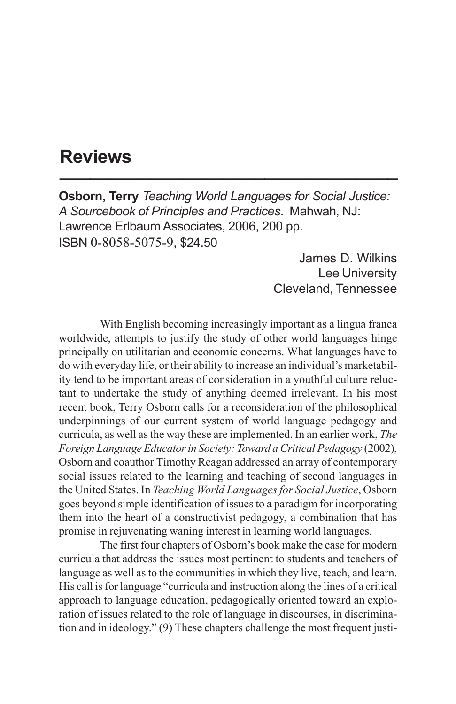## **Reviews \_\_\_\_\_\_\_\_\_\_\_\_\_\_\_\_\_\_\_\_\_\_\_\_\_\_\_\_\_\_\_\_\_**

**Osborn, Terry** *Teaching World Languages for Social Justice: A Sourcebook of Principles and Practices*. Mahwah, NJ: Lawrence Erlbaum Associates, 2006, 200 pp. ISBN 0-8058-5075-9, \$24.50

> James D. Wilkins Lee University Cleveland, Tennessee

With English becoming increasingly important as a lingua franca worldwide, attempts to justify the study of other world languages hinge principally on utilitarian and economic concerns. What languages have to do with everyday life, or their ability to increase an individual's marketability tend to be important areas of consideration in a youthful culture reluctant to undertake the study of anything deemed irrelevant. In his most recent book, Terry Osborn calls for a reconsideration of the philosophical underpinnings of our current system of world language pedagogy and curricula, as well as the way these are implemented. In an earlier work, *The Foreign Language Educator in Society: Toward a Critical Pedagogy* (2002), Osborn and coauthor Timothy Reagan addressed an array of contemporary social issues related to the learning and teaching of second languages in the United States. In *Teaching World Languages for Social Justice*, Osborn goes beyond simple identification of issues to a paradigm for incorporating them into the heart of a constructivist pedagogy, a combination that has promise in rejuvenating waning interest in learning world languages.

The first four chapters of Osborn's book make the case for modern curricula that address the issues most pertinent to students and teachers of language as well as to the communities in which they live, teach, and learn. His call is for language "curricula and instruction along the lines of a critical approach to language education, pedagogically oriented toward an exploration of issues related to the role of language in discourses, in discrimination and in ideology." (9) These chapters challenge the most frequent justi-